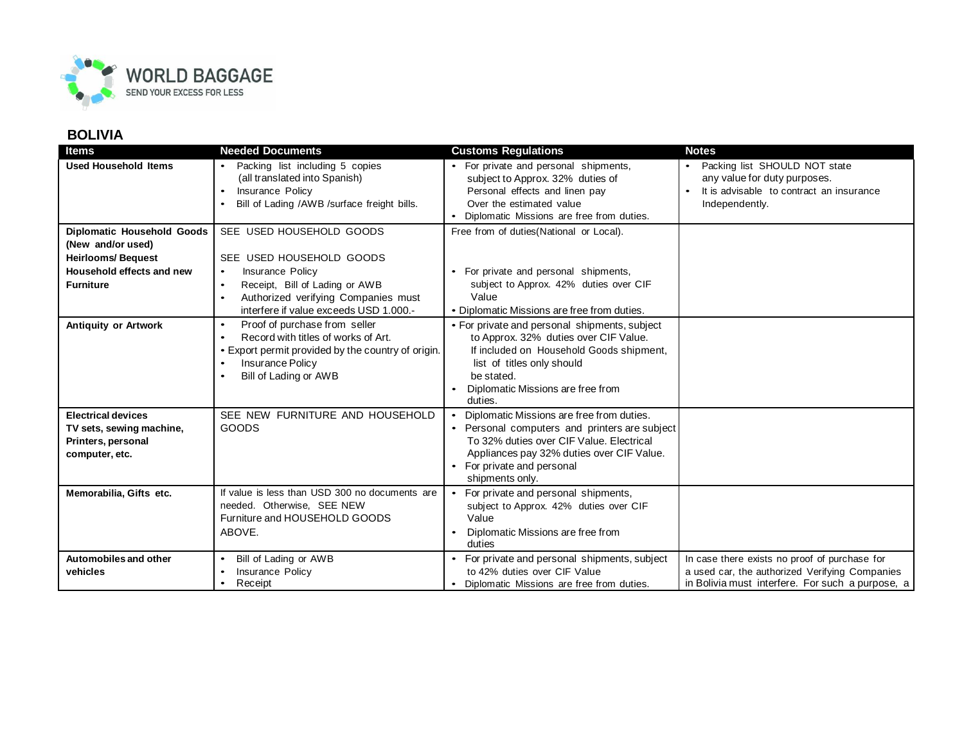

## **BOLIVIA**

| <b>Items</b>                                                                                                                        | <b>Needed Documents</b>                                                                                                                                                                                                            | <b>Customs Regulations</b>                                                                                                                                                                                                         | <b>Notes</b>                                                                                                                                        |
|-------------------------------------------------------------------------------------------------------------------------------------|------------------------------------------------------------------------------------------------------------------------------------------------------------------------------------------------------------------------------------|------------------------------------------------------------------------------------------------------------------------------------------------------------------------------------------------------------------------------------|-----------------------------------------------------------------------------------------------------------------------------------------------------|
| <b>Used Household Items</b>                                                                                                         | Packing list including 5 copies<br>(all translated into Spanish)<br>Insurance Policy<br>Bill of Lading /AWB /surface freight bills.                                                                                                | • For private and personal shipments,<br>subject to Approx. 32% duties of<br>Personal effects and linen pay<br>Over the estimated value<br>Diplomatic Missions are free from duties.                                               | Packing list SHOULD NOT state<br>any value for duty purposes.<br>It is advisable to contract an insurance<br>Independently.                         |
| <b>Diplomatic Household Goods</b><br>(New and/or used)<br><b>Heirlooms/Bequest</b><br>Household effects and new<br><b>Furniture</b> | SEE USED HOUSEHOLD GOODS<br>SEE USED HOUSEHOLD GOODS<br>Insurance Policy<br>$\bullet$<br>Receipt, Bill of Lading or AWB<br>$\bullet$<br>Authorized verifying Companies must<br>$\bullet$<br>interfere if value exceeds USD 1.000.- | Free from of duties (National or Local).<br>• For private and personal shipments,<br>subject to Approx. 42% duties over CIF<br>Value<br>• Diplomatic Missions are free from duties.                                                |                                                                                                                                                     |
| <b>Antiquity or Artwork</b>                                                                                                         | Proof of purchase from seller<br>$\bullet$<br>Record with titles of works of Art.<br>$\bullet$<br>• Export permit provided by the country of origin.<br><b>Insurance Policy</b><br>Bill of Lading or AWB                           | • For private and personal shipments, subject<br>to Approx. 32% duties over CIF Value.<br>If included on Household Goods shipment,<br>list of titles only should<br>be stated.<br>Diplomatic Missions are free from<br>duties.     |                                                                                                                                                     |
| <b>Electrical devices</b><br>TV sets, sewing machine,<br>Printers, personal<br>computer, etc.                                       | SEE NEW FURNITURE AND HOUSEHOLD<br><b>GOODS</b>                                                                                                                                                                                    | Diplomatic Missions are free from duties.<br>• Personal computers and printers are subject<br>To 32% duties over CIF Value, Electrical<br>Appliances pay 32% duties over CIF Value.<br>For private and personal<br>shipments only. |                                                                                                                                                     |
| Memorabilia, Gifts etc.                                                                                                             | If value is less than USD 300 no documents are<br>needed. Otherwise, SEE NEW<br>Furniture and HOUSEHOLD GOODS<br>ABOVE.                                                                                                            | • For private and personal shipments,<br>subject to Approx. 42% duties over CIF<br>Value<br>Diplomatic Missions are free from<br>duties                                                                                            |                                                                                                                                                     |
| Automobiles and other<br>vehicles                                                                                                   | Bill of Lading or AWB<br>$\bullet$<br>Insurance Policy<br>Receipt<br>$\bullet$                                                                                                                                                     | • For private and personal shipments, subject<br>to 42% duties over CIF Value<br>• Diplomatic Missions are free from duties.                                                                                                       | In case there exists no proof of purchase for<br>a used car, the authorized Verifying Companies<br>in Bolivia must interfere. For such a purpose, a |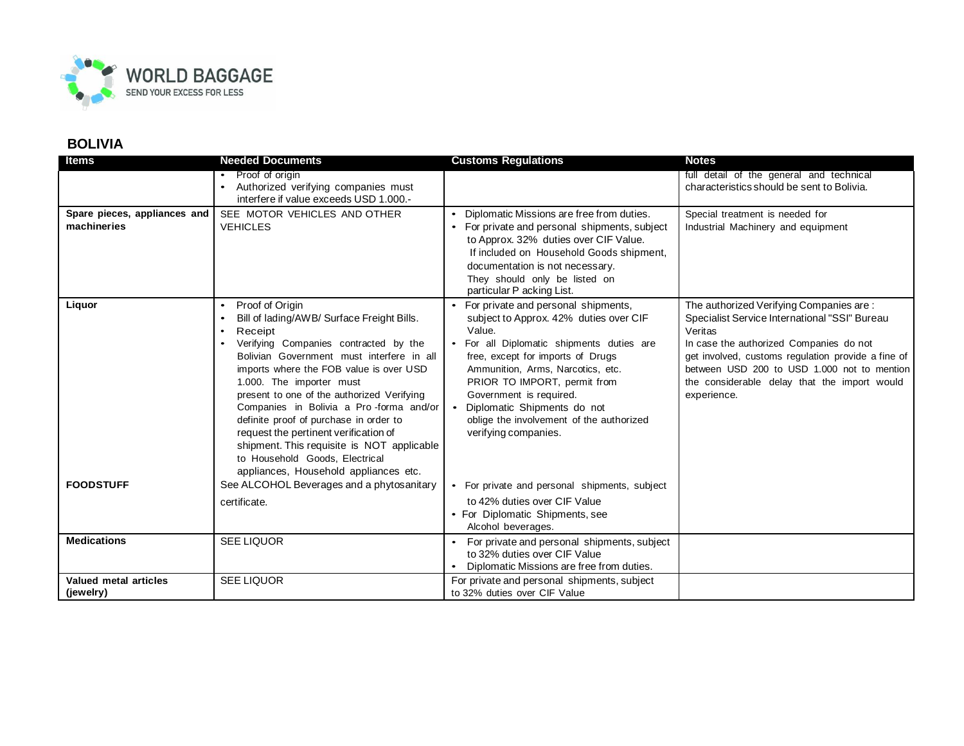

## **BOLIVIA**

| <b>Items</b>                                | <b>Needed Documents</b>                                                                                                                                                                                                                                                                                                                                                                                                                                                                                                                                 | <b>Customs Regulations</b>                                                                                                                                                                                                                                                                                                                                                   | <b>Notes</b>                                                                                                                                                                                                                                                                                                       |
|---------------------------------------------|---------------------------------------------------------------------------------------------------------------------------------------------------------------------------------------------------------------------------------------------------------------------------------------------------------------------------------------------------------------------------------------------------------------------------------------------------------------------------------------------------------------------------------------------------------|------------------------------------------------------------------------------------------------------------------------------------------------------------------------------------------------------------------------------------------------------------------------------------------------------------------------------------------------------------------------------|--------------------------------------------------------------------------------------------------------------------------------------------------------------------------------------------------------------------------------------------------------------------------------------------------------------------|
|                                             | Proof of origin<br>Authorized verifying companies must                                                                                                                                                                                                                                                                                                                                                                                                                                                                                                  |                                                                                                                                                                                                                                                                                                                                                                              | full detail of the general and technical<br>characteristics should be sent to Bolivia.                                                                                                                                                                                                                             |
|                                             | interfere if value exceeds USD 1.000.-                                                                                                                                                                                                                                                                                                                                                                                                                                                                                                                  |                                                                                                                                                                                                                                                                                                                                                                              |                                                                                                                                                                                                                                                                                                                    |
| Spare pieces, appliances and<br>machineries | SEE MOTOR VEHICLES AND OTHER<br><b>VEHICLES</b>                                                                                                                                                                                                                                                                                                                                                                                                                                                                                                         | Diplomatic Missions are free from duties.<br>• For private and personal shipments, subject<br>to Approx. 32% duties over CIF Value.<br>If included on Household Goods shipment,<br>documentation is not necessary.<br>They should only be listed on<br>particular P acking List.                                                                                             | Special treatment is needed for<br>Industrial Machinery and equipment                                                                                                                                                                                                                                              |
| Liquor                                      | Proof of Origin<br>$\bullet$<br>Bill of lading/AWB/ Surface Freight Bills.<br>Receipt<br>Verifying Companies contracted by the<br>Bolivian Government must interfere in all<br>imports where the FOB value is over USD<br>1.000. The importer must<br>present to one of the authorized Verifying<br>Companies in Bolivia a Pro-forma and/or<br>definite proof of purchase in order to<br>request the pertinent verification of<br>shipment. This requisite is NOT applicable<br>to Household Goods, Electrical<br>appliances, Household appliances etc. | For private and personal shipments,<br>subject to Approx. 42% duties over CIF<br>Value.<br>For all Diplomatic shipments duties are<br>free, except for imports of Drugs<br>Ammunition, Arms, Narcotics, etc.<br>PRIOR TO IMPORT, permit from<br>Government is required.<br>• Diplomatic Shipments do not<br>oblige the involvement of the authorized<br>verifying companies. | The authorized Verifying Companies are:<br>Specialist Service International "SSI" Bureau<br>Veritas<br>In case the authorized Companies do not<br>get involved, customs regulation provide a fine of<br>between USD 200 to USD 1.000 not to mention<br>the considerable delay that the import would<br>experience. |
| <b>FOODSTUFF</b>                            | See ALCOHOL Beverages and a phytosanitary                                                                                                                                                                                                                                                                                                                                                                                                                                                                                                               | • For private and personal shipments, subject                                                                                                                                                                                                                                                                                                                                |                                                                                                                                                                                                                                                                                                                    |
|                                             | certificate.                                                                                                                                                                                                                                                                                                                                                                                                                                                                                                                                            | to 42% duties over CIF Value<br>• For Diplomatic Shipments, see<br>Alcohol beverages.                                                                                                                                                                                                                                                                                        |                                                                                                                                                                                                                                                                                                                    |
| <b>Medications</b>                          | <b>SEE LIQUOR</b>                                                                                                                                                                                                                                                                                                                                                                                                                                                                                                                                       | For private and personal shipments, subject<br>$\bullet$<br>to 32% duties over CIF Value<br>Diplomatic Missions are free from duties.                                                                                                                                                                                                                                        |                                                                                                                                                                                                                                                                                                                    |
| Valued metal articles<br>(jewelry)          | <b>SEE LIQUOR</b>                                                                                                                                                                                                                                                                                                                                                                                                                                                                                                                                       | For private and personal shipments, subject<br>to 32% duties over CIF Value                                                                                                                                                                                                                                                                                                  |                                                                                                                                                                                                                                                                                                                    |